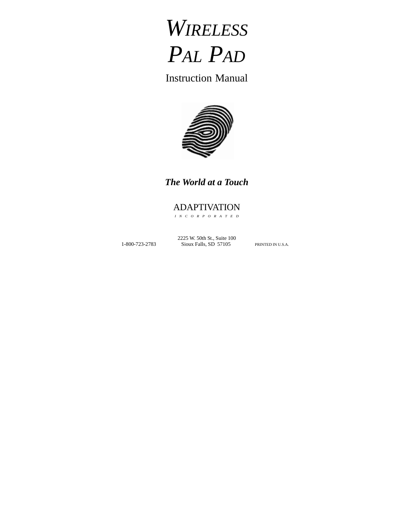

Instruction Manual



*The World at a Touch*

# ADAPTIVATION

*INCORPORATED*

2225 W. 50th St., Suite 100 1-800-723-2783 Sioux Falls, SD 57105 PRINTED IN U.S.A.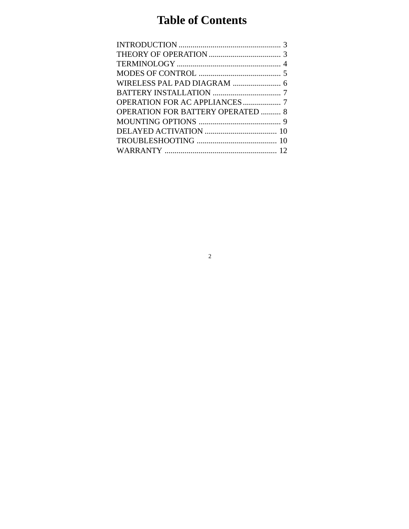# **Table of Contents**

| <b>OPERATION FOR BATTERY OPERATED  8</b> |  |
|------------------------------------------|--|
|                                          |  |
|                                          |  |
|                                          |  |
|                                          |  |
|                                          |  |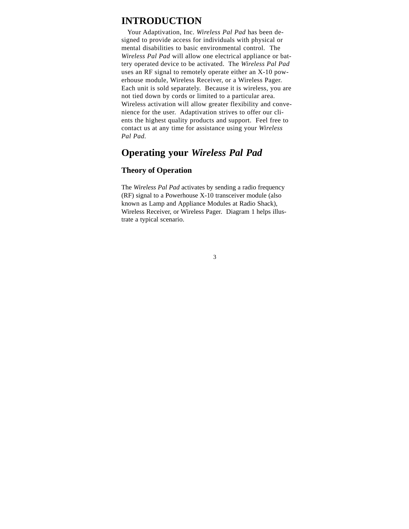# **INTRODUCTION**

Your Adaptivation, Inc. *Wireless Pal Pad* has been designed to provide access for individuals with physical or mental disabilities to basic environmental control. The *Wireless Pal Pad* will allow one electrical appliance or battery operated device to be activated. The *Wireless Pal Pad* uses an RF signal to remotely operate either an X-10 powerhouse module, Wireless Receiver, or a Wireless Pager. Each unit is sold separately. Because it is wireless, you are not tied down by cords or limited to a particular area. Wireless activation will allow greater flexibility and convenience for the user. Adaptivation strives to offer our clients the highest quality products and support. Feel free to contact us at any time for assistance using your *Wireless Pal Pad.*

# **Operating your** *Wireless Pal Pad*

### **Theory of Operation**

The *Wireless Pal Pad* activates by sending a radio frequency (RF) signal to a Powerhouse X-10 transceiver module (also known as Lamp and Appliance Modules at Radio Shack), Wireless Receiver, or Wireless Pager. Diagram 1 helps illustrate a typical scenario.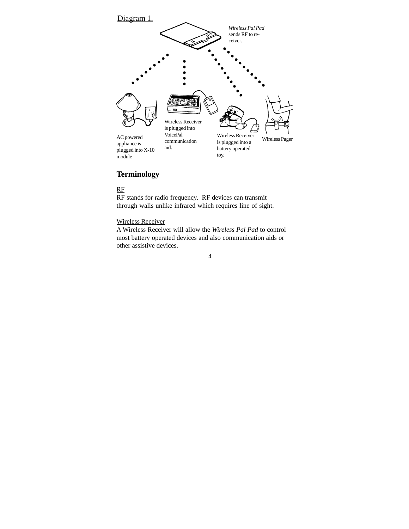

# **Terminology**

# RF

RF stands for radio frequency. RF devices can transmit through walls unlike infrared which requires line of sight.

#### Wireless Receiver

A Wireless Receiver will allow the *Wireless Pal Pad* to control most battery operated devices and also communication aids or other assistive devices.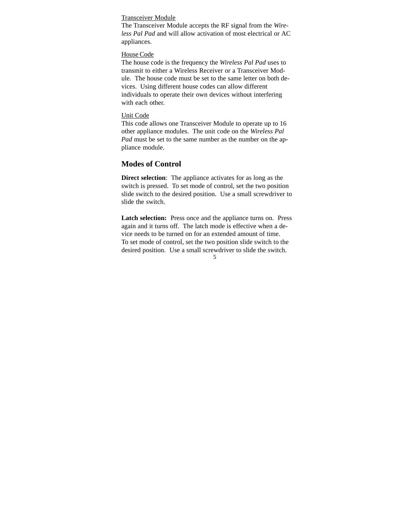#### Transceiver Module

The Transceiver Module accepts the RF signal from the *Wireless Pal Pad* and will allow activation of most electrical or AC appliances.

#### House Code

The house code is the frequency the *Wireless Pal Pad* uses to transmit to either a Wireless Receiver or a Transceiver Module. The house code must be set to the same letter on both devices. Using different house codes can allow different individuals to operate their own devices without interfering with each other.

#### Unit Code

This code allows one Transceiver Module to operate up to 16 other appliance modules. The unit code on the *Wireless Pal Pad* must be set to the same number as the number on the appliance module.

#### **Modes of Control**

**Direct selection**: The appliance activates for as long as the switch is pressed. To set mode of control, set the two position slide switch to the desired position. Use a small screwdriver to slide the switch.

5 **Latch selection:** Press once and the appliance turns on. Press again and it turns off. The latch mode is effective when a device needs to be turned on for an extended amount of time. To set mode of control, set the two position slide switch to the desired position. Use a small screwdriver to slide the switch.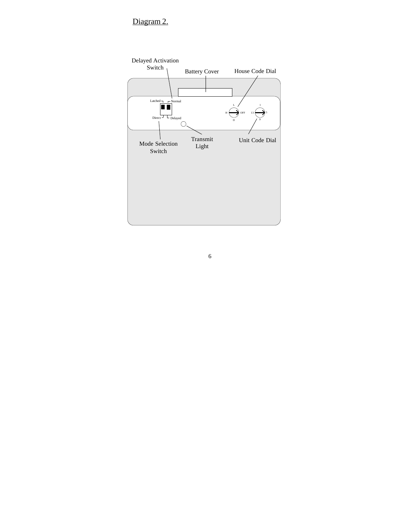Diagram 2.

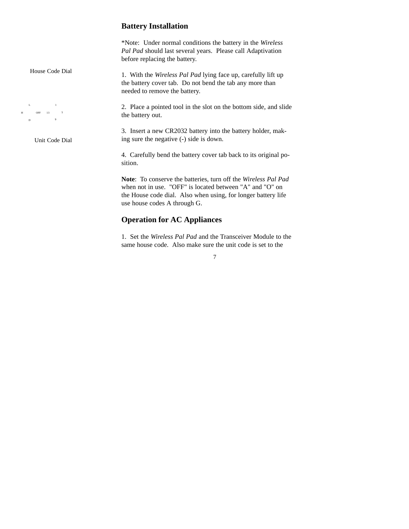### **Battery Installation**

\*Note: Under normal conditions the battery in the *Wireless Pal Pad* should last several years. Please call Adaptivation before replacing the battery.

House Code Dial

```
OFF
13 5L
    D
H
                 1
                 9
```
Unit Code Dial

1. With the *Wireless Pal Pad* lying face up, carefully lift up the battery cover tab. Do not bend the tab any more than needed to remove the battery.

2. Place a pointed tool in the slot on the bottom side, and slide the battery out.

3. Insert a new CR2032 battery into the battery holder, making sure the negative (-) side is down.

4. Carefully bend the battery cover tab back to its original position.

**Note**: To conserve the batteries, turn off the *Wireless Pal Pad* when not in use. "OFF" is located between "A" and "O" on the House code dial. Also when using, for longer battery life use house codes A through G.

# **Operation for AC Appliances**

1. Set the *Wireless Pal Pad* and the Transceiver Module to the same house code. Also make sure the unit code is set to the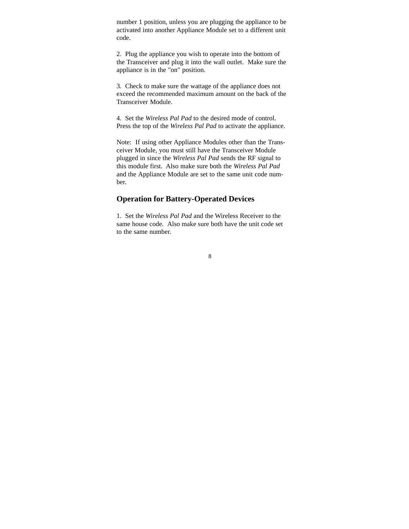number 1 position, unless you are plugging the appliance to be activated into another Appliance Module set to a different unit code.

2. Plug the appliance you wish to operate into the bottom of the Transceiver and plug it into the wall outlet. Make sure the appliance is in the "on" position.

3. Check to make sure the wattage of the appliance does not exceed the recommended maximum amount on the back of the Transceiver Module.

4. Set the *Wireless Pal Pad* to the desired mode of control. Press the top of the *Wireless Pal Pad* to activate the appliance.

Note: If using other Appliance Modules other than the Transceiver Module, you must still have the Transceiver Module plugged in since the *Wireless Pal Pad* sends the RF signal to this module first. Also make sure both the *Wireless Pal Pad* and the Appliance Module are set to the same unit code number.

### **Operation for Battery-Operated Devices**

1. Set the *Wireless Pal Pad* and the Wireless Receiver to the same house code. Also make sure both have the unit code set to the same number.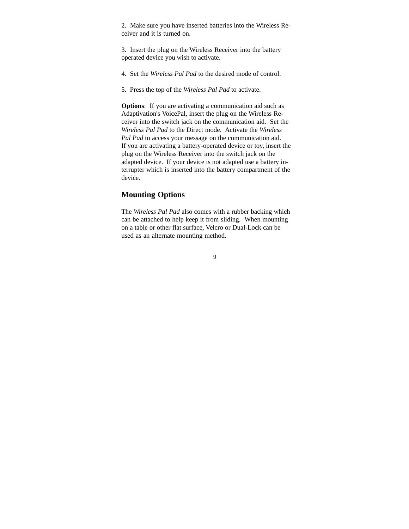2. Make sure you have inserted batteries into the Wireless Receiver and it is turned on.

3. Insert the plug on the Wireless Receiver into the battery operated device you wish to activate.

- 4. Set the *Wireless Pal Pad* to the desired mode of control.
- 5. Press the top of the *Wireless Pal Pad* to activate.

**Options**: If you are activating a communication aid such as Adaptivation's VoicePal, insert the plug on the Wireless Receiver into the switch jack on the communication aid. Set the *Wireless Pal Pad* to the Direct mode. Activate the *Wireless Pal Pad* to access your message on the communication aid. If you are activating a battery-operated device or toy, insert the plug on the Wireless Receiver into the switch jack on the adapted device. If your device is not adapted use a battery interrupter which is inserted into the battery compartment of the device.

### **Mounting Options**

The *Wireless Pal Pad* also comes with a rubber backing which can be attached to help keep it from sliding. When mounting on a table or other flat surface, Velcro or Dual-Lock can be used as an alternate mounting method.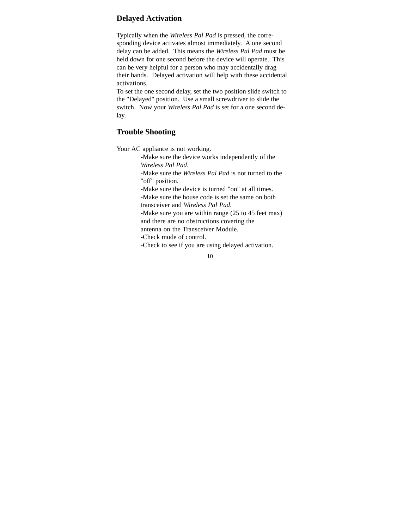# **Delayed Activation**

Typically when the *Wireless Pal Pad* is pressed, the corresponding device activates almost immediately. A one second delay can be added. This means the *Wireless Pal Pad* must be held down for one second before the device will operate. This can be very helpful for a person who may accidentally drag their hands. Delayed activation will help with these accidental activations.

To set the one second delay, set the two position slide switch to the "Delayed" position. Use a small screwdriver to slide the switch. Now your *Wireless Pal Pad* is set for a one second delay.

# **Trouble Shooting**

Your AC appliance is not working.

-Make sure the device works independently of the *Wireless Pal Pad*.

-Make sure the *Wireless Pal Pad* is not turned to the "off" position.

-Make sure the device is turned "on" at all times. -Make sure the house code is set the same on both transceiver and *Wireless Pal Pad*.

-Make sure you are within range (25 to 45 feet max) and there are no obstructions covering the

antenna on the Transceiver Module.

-Check mode of control.

-Check to see if you are using delayed activation.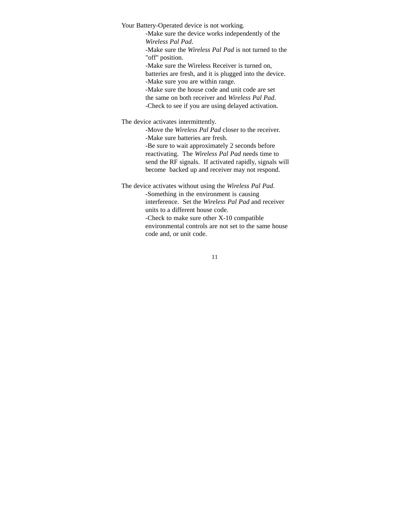Your Battery-Operated device is not working.

-Make sure the device works independently of the *Wireless Pal Pad*. -Make sure the *Wireless Pal Pad* is not turned to the "off" position. -Make sure the Wireless Receiver is turned on, batteries are fresh, and it is plugged into the device. -Make sure you are within range. -Make sure the house code and unit code are set the same on both receiver and *Wireless Pal Pad*. -Check to see if you are using delayed activation.

The device activates intermittently.

-Move the *Wireless Pal Pad* closer to the receiver. -Make sure batteries are fresh. -Be sure to wait approximately 2 seconds before reactivating. The *Wireless Pal Pad* needs time to send the RF signals. If activated rapidly, signals will become backed up and receiver may not respond.

The device activates without using the *Wireless Pal Pad*. -Something in the environment is causing interference. Set the *Wireless Pal Pad* and receiver units to a different house code. -Check to make sure other X-10 compatible environmental controls are not set to the same house code and, or unit code.